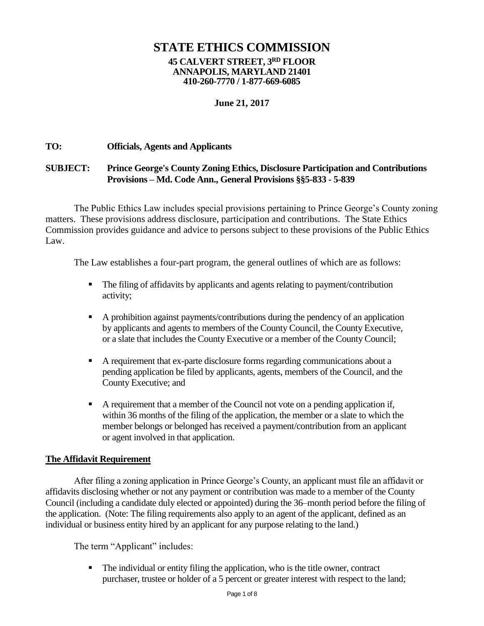# **STATE ETHICS COMMISSION**

**45 CALVERT STREET, 3RD FLOOR ANNAPOLIS, MARYLAND 21401 410-260-7770 / 1-877-669-6085**

# **June 21, 2017**

#### **TO: Officials, Agents and Applicants**

### **SUBJECT: Prince George's County Zoning Ethics, Disclosure Participation and Contributions Provisions – Md. Code Ann., General Provisions §§5-833 - 5-839**

The Public Ethics Law includes special provisions pertaining to Prince George's County zoning matters. These provisions address disclosure, participation and contributions. The State Ethics Commission provides guidance and advice to persons subject to these provisions of the Public Ethics Law.

The Law establishes a four-part program, the general outlines of which are as follows:

- The filing of affidavits by applicants and agents relating to payment/contribution activity;
- A prohibition against payments/contributions during the pendency of an application by applicants and agents to members of the County Council, the County Executive, or a slate that includes the County Executive or a member of the County Council;
- A requirement that ex-parte disclosure forms regarding communications about a pending application be filed by applicants, agents, members of the Council, and the County Executive; and
- A requirement that a member of the Council not vote on a pending application if, within 36 months of the filing of the application, the member or a slate to which the member belongs or belonged has received a payment/contribution from an applicant or agent involved in that application.

### **The Affidavit Requirement**

After filing a zoning application in Prince George's County, an applicant must file an affidavit or affidavits disclosing whether or not any payment or contribution was made to a member of the County Council (including a candidate duly elected or appointed) during the 36–month period before the filing of the application. (Note: The filing requirements also apply to an agent of the applicant, defined as an individual or business entity hired by an applicant for any purpose relating to the land.)

The term "Applicant" includes:

• The individual or entity filing the application, who is the title owner, contract purchaser, trustee or holder of a 5 percent or greater interest with respect to the land;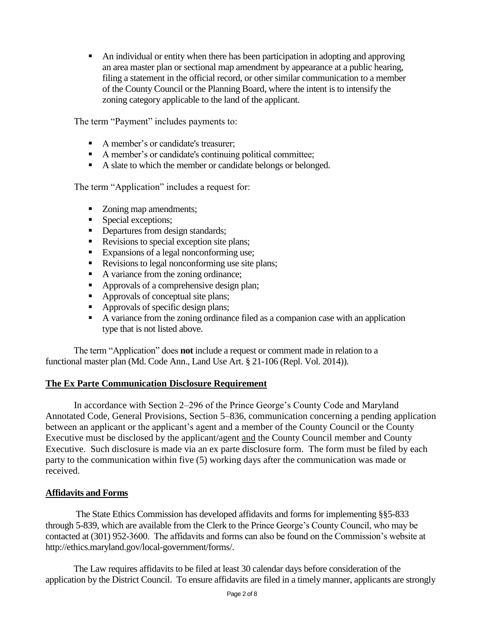An individual or entity when there has been participation in adopting and approving an area master plan or sectional map amendment by appearance at a public hearing, filing a statement in the official record, or other similar communication to a member of the County Council or the Planning Board, where the intent is to intensify the zoning category applicable to the land of the applicant.

The term "Payment" includes payments to:

- A member's or candidate's treasurer;
- A member's or candidate's continuing political committee;
- A slate to which the member or candidate belongs or belonged.

The term "Application" includes a request for:

- Zoning map amendments;
- Special exceptions;
- Departures from design standards;
- Revisions to special exception site plans;
- Expansions of a legal nonconforming use;
- Revisions to legal nonconforming use site plans;
- A variance from the zoning ordinance;
- Approvals of a comprehensive design plan;
- Approvals of conceptual site plans;
- Approvals of specific design plans;
- A variance from the zoning ordinance filed as a companion case with an application type that is not listed above.

The term "Application" does **not** include a request or comment made in relation to a functional master plan (Md. Code Ann., Land Use Art. § 21-106 (Repl. Vol. 2014)).

### **The Ex Parte Communication Disclosure Requirement**

In accordance with Section 2–296 of the Prince George's County Code and Maryland Annotated Code, General Provisions, Section 5–836, communication concerning a pending application between an applicant or the applicant's agent and a member of the County Council or the County Executive must be disclosed by the applicant/agent and the County Council member and County Executive. Such disclosure is made via an ex parte disclosure form. The form must be filed by each party to the communication within five (5) working days after the communication was made or received.

### **Affidavits and Forms**

The State Ethics Commission has developed affidavits and forms for implementing §§5-833 through 5-839, which are available from the Clerk to the Prince George's County Council, who may be contacted at (301) 952-3600. The affidavits and forms can also be found on the Commission's website at http://ethics.maryland.gov/local-government/forms/.

The Law requires affidavits to be filed at least 30 calendar days before consideration of the application by the District Council. To ensure affidavits are filed in a timely manner, applicants are strongly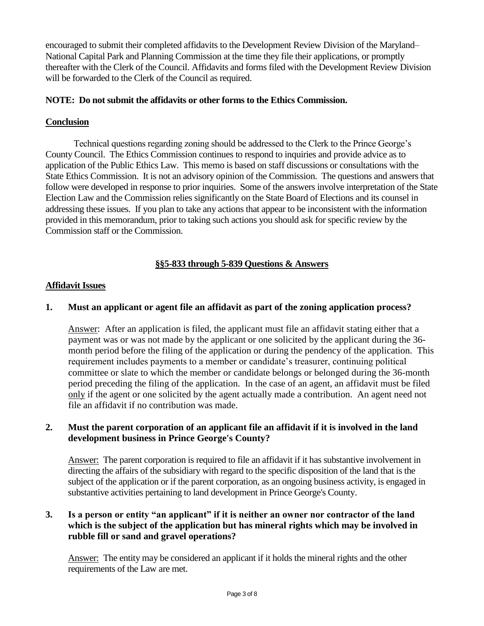encouraged to submit their completed affidavits to the Development Review Division of the Maryland– National Capital Park and Planning Commission at the time they file their applications, or promptly thereafter with the Clerk of the Council. Affidavits and forms filed with the Development Review Division will be forwarded to the Clerk of the Council as required.

# **NOTE: Do not submit the affidavits or other forms to the Ethics Commission.**

# **Conclusion**

Technical questions regarding zoning should be addressed to the Clerk to the Prince George's County Council. The Ethics Commission continues to respond to inquiries and provide advice as to application of the Public Ethics Law. This memo is based on staff discussions or consultations with the State Ethics Commission. It is not an advisory opinion of the Commission. The questions and answers that follow were developed in response to prior inquiries. Some of the answers involve interpretation of the State Election Law and the Commission relies significantly on the State Board of Elections and its counsel in addressing these issues. If you plan to take any actions that appear to be inconsistent with the information provided in this memorandum, prior to taking such actions you should ask for specific review by the Commission staff or the Commission.

# **§§5-833 through 5-839 Questions & Answers**

# **Affidavit Issues**

# **1. Must an applicant or agent file an affidavit as part of the zoning application process?**

Answer: After an application is filed, the applicant must file an affidavit stating either that a payment was or was not made by the applicant or one solicited by the applicant during the 36 month period before the filing of the application or during the pendency of the application. This requirement includes payments to a member or candidate's treasurer, continuing political committee or slate to which the member or candidate belongs or belonged during the 36-month period preceding the filing of the application. In the case of an agent, an affidavit must be filed only if the agent or one solicited by the agent actually made a contribution. An agent need not file an affidavit if no contribution was made.

# **2. Must the parent corporation of an applicant file an affidavit if it is involved in the land development business in Prince George's County?**

Answer: The parent corporation is required to file an affidavit if it has substantive involvement in directing the affairs of the subsidiary with regard to the specific disposition of the land that is the subject of the application or if the parent corporation, as an ongoing business activity, is engaged in substantive activities pertaining to land development in Prince George's County.

# **3. Is a person or entity "an applicant" if it is neither an owner nor contractor of the land which is the subject of the application but has mineral rights which may be involved in rubble fill or sand and gravel operations?**

Answer: The entity may be considered an applicant if it holds the mineral rights and the other requirements of the Law are met.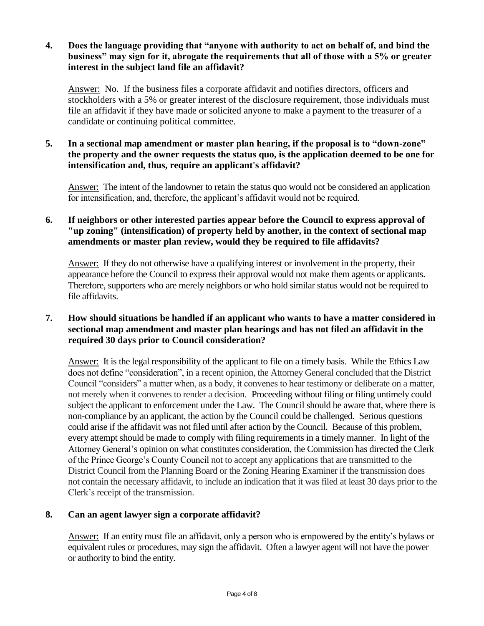# **4. Does the language providing that "anyone with authority to act on behalf of, and bind the business" may sign for it, abrogate the requirements that all of those with a 5% or greater interest in the subject land file an affidavit?**

Answer:No. If the business files a corporate affidavit and notifies directors, officers and stockholders with a 5% or greater interest of the disclosure requirement, those individuals must file an affidavit if they have made or solicited anyone to make a payment to the treasurer of a candidate or continuing political committee.

# **5. In a sectional map amendment or master plan hearing, if the proposal is to "down-zone" the property and the owner requests the status quo, is the application deemed to be one for intensification and, thus, require an applicant's affidavit?**

Answer: The intent of the landowner to retain the status quo would not be considered an application for intensification, and, therefore, the applicant's affidavit would not be required.

# **6. If neighbors or other interested parties appear before the Council to express approval of "up zoning" (intensification) of property held by another, in the context of sectional map amendments or master plan review, would they be required to file affidavits?**

Answer: If they do not otherwise have a qualifying interest or involvement in the property, their appearance before the Council to express their approval would not make them agents or applicants. Therefore, supporters who are merely neighbors or who hold similar status would not be required to file affidavits.

# **7. How should situations be handled if an applicant who wants to have a matter considered in sectional map amendment and master plan hearings and has not filed an affidavit in the required 30 days prior to Council consideration?**

Answer: It is the legal responsibility of the applicant to file on a timely basis. While the Ethics Law does not define "consideration", in a recent opinion, the Attorney General concluded that the District Council "considers" a matter when, as a body, it convenes to hear testimony or deliberate on a matter, not merely when it convenes to render a decision. Proceeding without filing or filing untimely could subject the applicant to enforcement under the Law. The Council should be aware that, where there is non-compliance by an applicant, the action by the Council could be challenged. Serious questions could arise if the affidavit was not filed until after action by the Council. Because of this problem, every attempt should be made to comply with filing requirements in a timely manner. In light of the Attorney General's opinion on what constitutes consideration, the Commission has directed the Clerk of the Prince George's County Council not to accept any applications that are transmitted to the District Council from the Planning Board or the Zoning Hearing Examiner if the transmission does not contain the necessary affidavit, to include an indication that it was filed at least 30 days prior to the Clerk's receipt of the transmission.

# **8. Can an agent lawyer sign a corporate affidavit?**

Answer: If an entity must file an affidavit, only a person who is empowered by the entity's bylaws or equivalent rules or procedures, may sign the affidavit. Often a lawyer agent will not have the power or authority to bind the entity.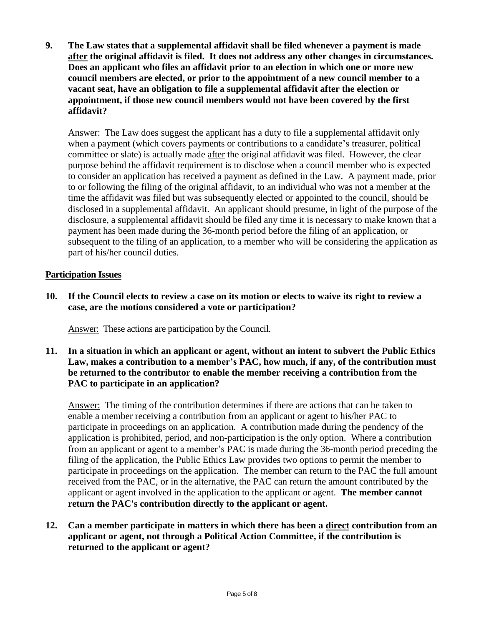**9. The Law states that a supplemental affidavit shall be filed whenever a payment is made after the original affidavit is filed. It does not address any other changes in circumstances. Does an applicant who files an affidavit prior to an election in which one or more new council members are elected, or prior to the appointment of a new council member to a vacant seat, have an obligation to file a supplemental affidavit after the election or appointment, if those new council members would not have been covered by the first affidavit?** 

Answer: The Law does suggest the applicant has a duty to file a supplemental affidavit only when a payment (which covers payments or contributions to a candidate's treasurer, political committee or slate) is actually made after the original affidavit was filed. However, the clear purpose behind the affidavit requirement is to disclose when a council member who is expected to consider an application has received a payment as defined in the Law. A payment made, prior to or following the filing of the original affidavit, to an individual who was not a member at the time the affidavit was filed but was subsequently elected or appointed to the council, should be disclosed in a supplemental affidavit. An applicant should presume, in light of the purpose of the disclosure, a supplemental affidavit should be filed any time it is necessary to make known that a payment has been made during the 36-month period before the filing of an application, or subsequent to the filing of an application, to a member who will be considering the application as part of his/her council duties.

# **Participation Issues**

**10. If the Council elects to review a case on its motion or elects to waive its right to review a case, are the motions considered a vote or participation?**

Answer: These actions are participation by the Council.

**11. In a situation in which an applicant or agent, without an intent to subvert the Public Ethics Law, makes a contribution to a member's PAC, how much, if any, of the contribution must be returned to the contributor to enable the member receiving a contribution from the PAC to participate in an application?** 

Answer: The timing of the contribution determines if there are actions that can be taken to enable a member receiving a contribution from an applicant or agent to his/her PAC to participate in proceedings on an application. A contribution made during the pendency of the application is prohibited, period, and non-participation is the only option. Where a contribution from an applicant or agent to a member's PAC is made during the 36-month period preceding the filing of the application, the Public Ethics Law provides two options to permit the member to participate in proceedings on the application. The member can return to the PAC the full amount received from the PAC, or in the alternative, the PAC can return the amount contributed by the applicant or agent involved in the application to the applicant or agent. **The member cannot return the PAC's contribution directly to the applicant or agent.**

**12. Can a member participate in matters in which there has been a direct contribution from an applicant or agent, not through a Political Action Committee, if the contribution is returned to the applicant or agent?**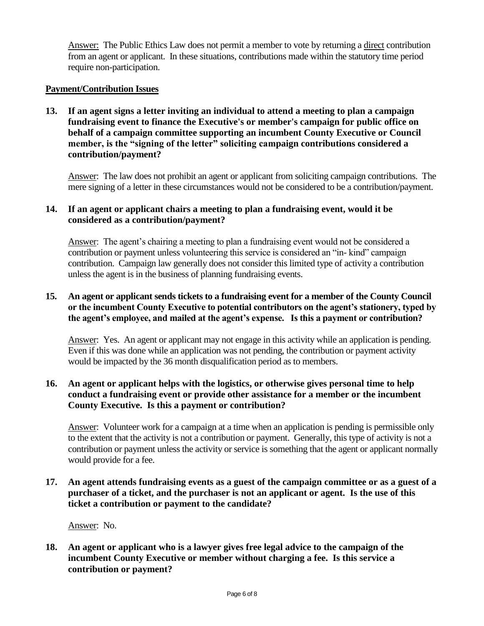Answer: The Public Ethics Law does not permit a member to vote by returning a direct contribution from an agent or applicant. In these situations, contributions made within the statutory time period require non-participation.

#### **Payment/Contribution Issues**

**13. If an agent signs a letter inviting an individual to attend a meeting to plan a campaign fundraising event to finance the Executive's or member's campaign for public office on behalf of a campaign committee supporting an incumbent County Executive or Council member, is the "signing of the letter" soliciting campaign contributions considered a contribution/payment?**

Answer: The law does not prohibit an agent or applicant from soliciting campaign contributions. The mere signing of a letter in these circumstances would not be considered to be a contribution/payment.

### **14. If an agent or applicant chairs a meeting to plan a fundraising event, would it be considered as a contribution/payment?**

Answer: The agent's chairing a meeting to plan a fundraising event would not be considered a contribution or payment unless volunteering this service is considered an "in- kind" campaign contribution. Campaign law generally does not consider this limited type of activity a contribution unless the agent is in the business of planning fundraising events.

# **15. An agent or applicant sends tickets to a fundraising event for a member of the County Council or the incumbent County Executive to potential contributors on the agent's stationery, typed by the agent's employee, and mailed at the agent's expense. Is this a payment or contribution?**

Answer: Yes. An agent or applicant may not engage in this activity while an application is pending. Even if this was done while an application was not pending, the contribution or payment activity would be impacted by the 36 month disqualification period as to members.

# **16. An agent or applicant helps with the logistics, or otherwise gives personal time to help conduct a fundraising event or provide other assistance for a member or the incumbent County Executive. Is this a payment or contribution?**

Answer: Volunteer work for a campaign at a time when an application is pending is permissible only to the extent that the activity is not a contribution or payment. Generally, this type of activity is not a contribution or payment unless the activity or service is something that the agent or applicant normally would provide for a fee.

**17. An agent attends fundraising events as a guest of the campaign committee or as a guest of a purchaser of a ticket, and the purchaser is not an applicant or agent. Is the use of this ticket a contribution or payment to the candidate?**

Answer: No.

**18. An agent or applicant who is a lawyer gives free legal advice to the campaign of the incumbent County Executive or member without charging a fee. Is this service a contribution or payment?**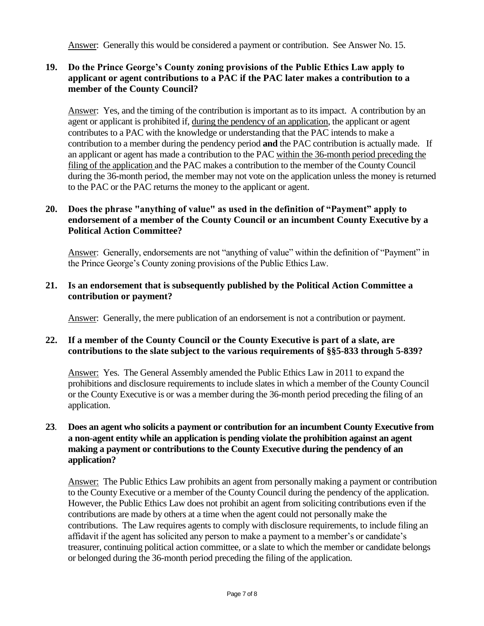Answer: Generally this would be considered a payment or contribution. See Answer No. 15.

# **19. Do the Prince George's County zoning provisions of the Public Ethics Law apply to applicant or agent contributions to a PAC if the PAC later makes a contribution to a member of the County Council?**

Answer: Yes, and the timing of the contribution is important as to its impact. A contribution by an agent or applicant is prohibited if, during the pendency of an application, the applicant or agent contributes to a PAC with the knowledge or understanding that the PAC intends to make a contribution to a member during the pendency period **and** the PAC contribution is actually made. If an applicant or agent has made a contribution to the PAC within the 36-month period preceding the filing of the application and the PAC makes a contribution to the member of the County Council during the 36-month period, the member may not vote on the application unless the money is returned to the PAC or the PAC returns the money to the applicant or agent.

# **20. Does the phrase "anything of value" as used in the definition of "Payment" apply to endorsement of a member of the County Council or an incumbent County Executive by a Political Action Committee?**

Answer: Generally, endorsements are not "anything of value" within the definition of "Payment" in the Prince George's County zoning provisions of the Public Ethics Law.

### **21. Is an endorsement that is subsequently published by the Political Action Committee a contribution or payment?**

Answer: Generally, the mere publication of an endorsement is not a contribution or payment.

# **22. If a member of the County Council or the County Executive is part of a slate, are contributions to the slate subject to the various requirements of §§5-833 through 5-839?**

Answer: Yes. The General Assembly amended the Public Ethics Law in 2011 to expand the prohibitions and disclosure requirements to include slates in which a member of the County Council or the County Executive is or was a member during the 36-month period preceding the filing of an application.

# **23**. **Does an agent who solicits a payment or contribution for an incumbent County Executive from a non-agent entity while an application is pending violate the prohibition against an agent making a payment or contributions to the County Executive during the pendency of an application?**

Answer: The Public Ethics Law prohibits an agent from personally making a payment or contribution to the County Executive or a member of the County Council during the pendency of the application. However, the Public Ethics Law does not prohibit an agent from soliciting contributions even if the contributions are made by others at a time when the agent could not personally make the contributions. The Law requires agents to comply with disclosure requirements, to include filing an affidavit if the agent has solicited any person to make a payment to a member's or candidate's treasurer, continuing political action committee, or a slate to which the member or candidate belongs or belonged during the 36-month period preceding the filing of the application.